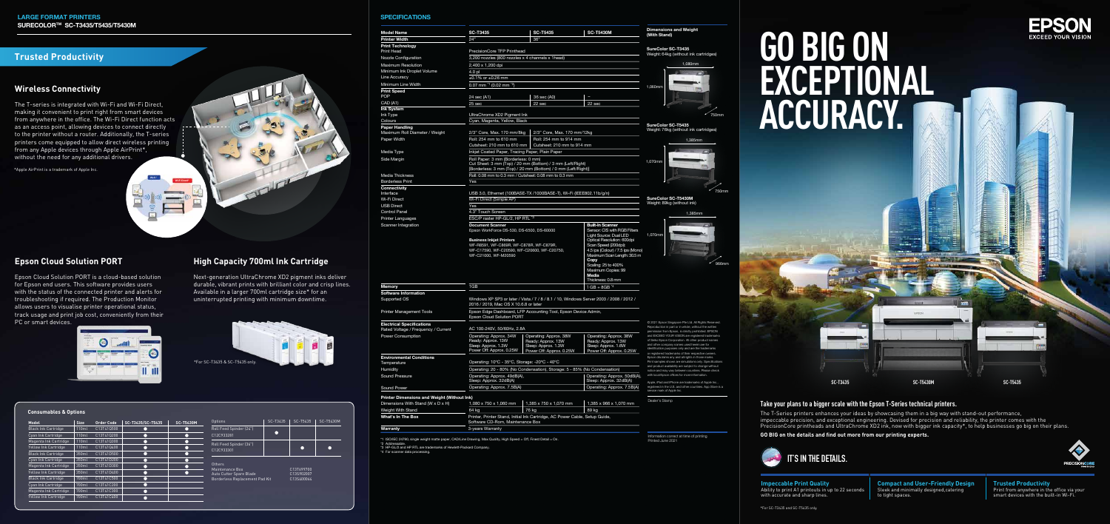## **Take your plans to a bigger scale with the Epson T-Series technical printers.**

The T-Series printers enhances your ideas by showcasing them in a big way with stand-out performance, impeccable precision, and exceptional engineering. Devised for precision and reliability, the printer comes with the PrecisionCore printheads and UltraChrome XD2 ink, now with bigger ink capacity\*, to help businesses go big on their plans.

Ability to print A1 printouts in up to 22 seconds with accurate and sharp lines.





\*For SC-T3435 and SC-T5435 only.

# **GO BIG ON EXCEPTIONAL ACCURACY.**



**PRECISIONCORE** 

### **Impeccable Print Quality**

**Compact and User-Friendly Design** Sleek and minimally designed, catering to tight spaces.

#### **Trusted Productivity** Print from anywhere in the office via your smart devices with the built-in Wi-Fi.

**SC-T3435 SC-T5430M SC-T5435** 

Information correct at time of printing Printed June 2021

**Dimensions and Weight (With Stand)**

#### **SPECIFICATIONS**

 $Line A$ 

Media Side

Medi

 $USB$ 

Paper

8591, WF-C869R, WF-C878R, WF-C879 WF-C17590, WF-C20590, WF-C20600, WF-C20750, WF-C21000, WF-M20590

**SureColor SC-T3435** Weight: 64kg (without ink cartridges)

**SureColor SC-T5435**  Weight: 76kg (without ink cartridges)

The T-series is integrated with Wi-Fi and Wi-Fi Direct, making it convenient to print right from smart devices from anywhere in the office. The Wi-Fi Direct function acts as an access point, allowing devices to connect directly to the printer without a router. Additionally, the T-series printers come equipped to allow direct wireless printing from any Apple devices through Apple AirPrint\*, without the need for any additional drivers.

1,385mm

1,070mm

750mm

| <b>Model Name</b>                                | <b>SC-T3435</b>                                                                                                                                                    | <b>SC-T5435</b>                                                                                                                                                                                                                                    | S            |  |
|--------------------------------------------------|--------------------------------------------------------------------------------------------------------------------------------------------------------------------|----------------------------------------------------------------------------------------------------------------------------------------------------------------------------------------------------------------------------------------------------|--------------|--|
| <b>Printer Width</b>                             | 24"                                                                                                                                                                | 36"                                                                                                                                                                                                                                                |              |  |
| <b>Print Technology</b><br><b>Print Head</b>     | PrecisionCore TFP Printhead                                                                                                                                        |                                                                                                                                                                                                                                                    |              |  |
| <b>Nozzle Configuration</b>                      |                                                                                                                                                                    |                                                                                                                                                                                                                                                    |              |  |
| <b>Maximum Resolution</b>                        | 2.400 x 1.200 dpi                                                                                                                                                  |                                                                                                                                                                                                                                                    |              |  |
| Minimum Ink Droplet Volume                       | 4.0 pl                                                                                                                                                             | 3,200 nozzles (800 nozzles x 4 channels x 1head)<br>36 sec (A0)<br>$\overline{2}$<br>$22$ sec<br>2/3" Core, Max. 170 mm/12kg<br>Roll: 254 mm to 914 mm<br>Cutsheet: 210 mm to 914 mm<br>USB 3.0, Ethernet (100BASE-TX /1000BASE-T), Wi-Fi (IEEE802 |              |  |
| Line Accuracy                                    | $\pm 0.1\%$ or $\pm 0.26$ mm                                                                                                                                       |                                                                                                                                                                                                                                                    |              |  |
| Minimum Line Width                               | 0.07 mm $*1$ (0.02 mm $*2$ )                                                                                                                                       |                                                                                                                                                                                                                                                    |              |  |
| <b>Print Speed</b><br><b>POP</b>                 | 24 sec (A1)                                                                                                                                                        |                                                                                                                                                                                                                                                    |              |  |
| CAD (A1)                                         | 25 sec                                                                                                                                                             |                                                                                                                                                                                                                                                    |              |  |
| <b>Ink System</b>                                |                                                                                                                                                                    |                                                                                                                                                                                                                                                    |              |  |
| Ink Type                                         | UltraChrome XD2 Pigment Ink                                                                                                                                        |                                                                                                                                                                                                                                                    |              |  |
| Colours                                          | Cyan, Magenta, Yellow, Black                                                                                                                                       |                                                                                                                                                                                                                                                    |              |  |
| Paper Handling<br>Maximum Roll Diameter / Weight | 2/3" Core, Max. 170 mm/8kg                                                                                                                                         |                                                                                                                                                                                                                                                    |              |  |
| Paper Width                                      | Roll: 254 mm to 610 mm                                                                                                                                             |                                                                                                                                                                                                                                                    |              |  |
|                                                  | Cutsheet: 210 mm to 610 mm                                                                                                                                         |                                                                                                                                                                                                                                                    |              |  |
| Media Type                                       | Inkjet Coated Paper, Tracing Paper, Plain Paper                                                                                                                    |                                                                                                                                                                                                                                                    |              |  |
| Side Margin                                      | Roll Paper: 3 mm (Borderless: 0 mm)<br>Cut Sheet: 3 mm (Top) / 20 mm (Bottom) / 3 mm (Left/Right)<br>[Borderless: 3 mm (Top) / 20 mm (Bottom) / 0 mm (Left/Right)] |                                                                                                                                                                                                                                                    |              |  |
| Media Thickness                                  | Roll: 0.08 mm to 0.3 mm / Cutsheet: 0.08 mm to 0.3 mm                                                                                                              |                                                                                                                                                                                                                                                    |              |  |
| <b>Borderless Print</b>                          | Yes                                                                                                                                                                |                                                                                                                                                                                                                                                    |              |  |
| <b>Connectivity</b><br>Interface                 |                                                                                                                                                                    |                                                                                                                                                                                                                                                    |              |  |
| Wi-Fi Direct                                     | Wi-Fi Direct (Simple AP)                                                                                                                                           |                                                                                                                                                                                                                                                    |              |  |
| <b>USB Direct</b>                                | Yes                                                                                                                                                                |                                                                                                                                                                                                                                                    |              |  |
| <b>Control Panel</b>                             | 4.3" Touch Screen                                                                                                                                                  |                                                                                                                                                                                                                                                    |              |  |
| <b>Printer Languages</b>                         | ESC/P raster HP-GL/2. HP RTL *3                                                                                                                                    |                                                                                                                                                                                                                                                    |              |  |
| Scanner Integration                              | <b>Document Scanner</b><br>Epson WorkForce DS-530, DS-6500, DS-60000                                                                                               |                                                                                                                                                                                                                                                    | B<br>S<br>Li |  |
|                                                  | <b>Business Inkjet Printers</b>                                                                                                                                    |                                                                                                                                                                                                                                                    | $\Omega$     |  |

| Dimensions With Stand (W $\times$ D $\times$ H) | 1,385 x 750 x 1,<br>1,080 x 750 x 1,060 mm                                            |       |  |  |
|-------------------------------------------------|---------------------------------------------------------------------------------------|-------|--|--|
| <b>Weight With Stand</b>                        | 64 ka                                                                                 | 76 ka |  |  |
| What's In The Box.                              | Printer, Printer Stand, Initial Ink Cartridge, AC<br>Software CD-Rom. Maintenance Box |       |  |  |
| Warranty                                        | 3-years Warranty                                                                      |       |  |  |

**SC-T5430M**

22 sec

| Memory                                         | 1GB                                                                                                                              |                                                                                                 | $1 GB + 8GB * 4$                                                                                |  |
|------------------------------------------------|----------------------------------------------------------------------------------------------------------------------------------|-------------------------------------------------------------------------------------------------|-------------------------------------------------------------------------------------------------|--|
| Software Information                           |                                                                                                                                  |                                                                                                 |                                                                                                 |  |
| Supported OS                                   | Windows XP SP3 or later / Vista / 7 / 8 / 8.1 / 10, Windows Server 2003 / 2008 / 2012 /<br>2016 / 2019, Mac OS X 10.6.8 or later |                                                                                                 |                                                                                                 |  |
| <b>Printer Management Tools</b>                | Epson Edge Dashboard, LFP Accounting Tool, Epson Device Admin,<br><b>Epson Cloud Solution PORT</b>                               |                                                                                                 |                                                                                                 |  |
| <b>Electrical Specifications</b>               |                                                                                                                                  |                                                                                                 |                                                                                                 |  |
| Rated Voltage / Frequency / Current            | AC 100-240V, 50/60Hz, 2.8A                                                                                                       |                                                                                                 |                                                                                                 |  |
| <b>Power Consumption</b>                       | Operating: Approx. 34W<br>Ready: Approx. 13W<br>Sleep: Approx. 1.3W<br>Power Off: Approx. 0.25W                                  | Operating: Approx. 38W<br>Ready: Approx. 13W<br>Sleep: Approx. 1.3W<br>Power Off: Approx. 0.25W | Operating: Approx. 38W<br>Ready: Approx. 13W<br>Sleep: Approx. 1.6W<br>Power Off: Approx. 0.25W |  |
| <b>Environmental Conditions</b><br>Temperature | Operating: 10°C - 35°C, Storage: -20°C - 40°C                                                                                    |                                                                                                 |                                                                                                 |  |
| Humidity                                       | Operating: 20 - 80% (No Condensation), Storage: 5 - 85% (No Condensation)                                                        |                                                                                                 |                                                                                                 |  |
| <b>Sound Pressure</b>                          | Operating: Approx. 49dB(A),<br>Sleep: Approx. 32dB(A)                                                                            |                                                                                                 | Operating: Approx. 50dB(A),<br>Sleep: Approx. 32dB(A)                                           |  |
| Sound Power                                    | Operating: Approx. 7.5B(A)                                                                                                       |                                                                                                 | Operating: Approx. 7.5B(A)                                                                      |  |
| Printer Dimensions and Weight (Without Ink)    |                                                                                                                                  |                                                                                                 |                                                                                                 |  |
| Dimensions With Stand (W x D x H)              | 1,080 x 750 x 1,060 mm                                                                                                           | 1,385 x 750 x 1,070 mm                                                                          | 1,385 x 966 x 1,070 mm                                                                          |  |
| Weight With Stand                              | 64 kg                                                                                                                            | 76 kg                                                                                           | 89 kg                                                                                           |  |
| <b>What's In The Box</b>                       | Printer, Printer Stand, Initial Ink Cartridge, AC Power Cable, Setup Guide,<br>Software CD-Rom, Maintenance Box                  |                                                                                                 |                                                                                                 |  |



| 0. | <b>Built-In Scanner</b><br>Sensor: CIS with RGB Filters<br><b>Light Source: Dual LED</b><br>Optical Resolution: 600dpi<br>Scan Speed (200dpi):<br>4.5 ips (Colour) / 7.5 ips (Mono)<br>Maximum Scan Length: 30.5 m<br>Copy<br>Scaling: 25 to 400%<br>Maximum Copies: 99<br><b>Media</b><br>Thickness: 0.8 mm |
|----|--------------------------------------------------------------------------------------------------------------------------------------------------------------------------------------------------------------------------------------------------------------------------------------------------------------|
|    | $1 GB + 8GB$                                                                                                                                                                                                                                                                                                 |

.<br>021 Epson Singapore Pte Ltd. All Rights Reserve art or in whole, without the writter permission from Epson, is strictly prohibited. EPSON e<br>EX≀VISION are registe of Seiko Epson Corporation. All other product names and other company names used herein are for identification purposes only and are the trademarks or registered trademarks of their respective owners. Epson disclaims any and all rights in those marks. Print samples shown are simulations only. Specifications and product availability are subject to change without notice and may vary between countries. Please check with local Epson offices for more information. ple, iPad and iPhone are trademarks of Apple In  $\frac{1}{2}$  in the U.S. and other countries. App Store is a ice mark of Apple Inc.

ealer's Stamp

\*1 ISO/IEC 24790, single weight matte paper, CAD/Line Drawing, Max Quality, High Speed = Off, Finest Detail = On.

\*2 Addressable. \*3 HP-GL/2 and HP RTL are trademarks of Hewlett-Packard Company.

\*4 For scanner data processing.



1,385mm

966mm

Wi-Fi (IEEE802.11b/g/n)

170 mm/12kg  $\frac{1}{2}$  0 914 mm mm to 914 mm

1,070mm

**SureColor SC-T5430M** Weight: 89kg (without ink)

## **Wireless Connectivity**

## **Epson Cloud Solution PORT**

Epson Cloud Solution PORT is a cloud-based solution for Epson end users. This software provides users with the status of the connected printer and alerts for troubleshooting if required. The Production Monitor allows users to visualise printer operational status, track usage and print job cost, conveniently from their PC or smart devices.



## **High Capacity 700ml Ink Cartridge**

P

Next-generation UltraChrome XD2 pigment inks deliver durable, vibrant prints with brilliant color and crisp lines. Available in a larger 700ml cartridge size\* for an uninterrupted printing with minimum downtime.

\*Apple AirPrint is a trademark of Apple Inc.



## **Trusted Productivity**

| Model                      | <b>Size</b> | <b>Order Code</b> | SC-T3435/SC-T5435 | <b>SC-T5430M</b> |
|----------------------------|-------------|-------------------|-------------------|------------------|
| <b>Black Ink Cartridge</b> | 110ml       | C13T410500        |                   |                  |
| Cyan Ink Cartridge         | 110ml       | C13T410200        |                   |                  |
| Magenta Ink Cartridge      | 110ml       | C13T41Q300        |                   |                  |
| Yellow Ink Cartridge       | 110ml       | C13T410400        |                   |                  |
| <b>Black Ink Cartridge</b> | 350ml       | C13T41D500        |                   |                  |
| Cyan Ink Cartridge         | 350ml       | C13T41D200        |                   |                  |
| Magenta Ink Cartridge      | 350ml       | C13T41D300        |                   |                  |
| Yellow Ink Cartridge       | 350ml       | C13T41D400        |                   |                  |
| <b>Black Ink Cartridge</b> | 700ml       | C13T41C500        |                   |                  |
| Cyan Ink Cartridge         | 700ml       | C13T41C200        |                   |                  |
| Magenta Ink Cartridge      | 700ml       | C13T41C300        |                   |                  |
| Yellow Ink Cartridge       | 700ml       | C13T41C400        |                   |                  |

#### **Consumables & Options**

| Options                               | SC-T3435 | SC-T5435 | SC-T5430M |
|---------------------------------------|----------|----------|-----------|
| Roll Feed Spinder (24")<br>C12C933281 |          |          |           |
| Roll Feed Spinder (36")<br>C12C933301 |          |          |           |

**Others** Maintenance Box C13T699700<br>
Auto Cutter Spare Blade C13S902007<br>
Borderless Replacement Pad Kit C13S400064 Auto Cutter Spare Blade Borderless Pontacement Pad Kit